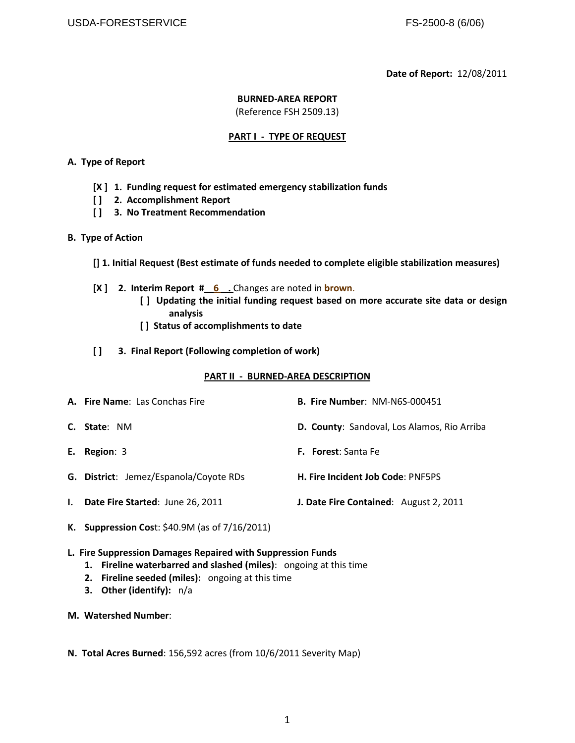#### **Date of Report:** 12/08/2011

#### **BURNED-AREA REPORT**

(Reference FSH 2509.13)

#### **PART I - TYPE OF REQUEST**

#### **A. Type of Report**

- **[X ] 1. Funding request for estimated emergency stabilization funds**
- **[ ] 2. Accomplishment Report**
- **[ ] 3. No Treatment Recommendation**
- **B. Type of Action**
	- **[] 1. Initial Request (Best estimate of funds needed to complete eligible stabilization measures)**
	- **[X ] 2. Interim Report # 6** . Changes are noted in **brown**.
		- **[ ] Updating the initial funding request based on more accurate site data or design analysis**
		- **[ ] Status of accomplishments to date**
	- **[ ] 3. Final Report (Following completion of work)**

#### **PART II - BURNED-AREA DESCRIPTION**

| <b>A. Fire Name: Las Conchas Fire</b>  | <b>B. Fire Number: NM-N6S-000451</b>        |
|----------------------------------------|---------------------------------------------|
| <b>C.</b> State: NM                    | D. County: Sandoval, Los Alamos, Rio Arriba |
| E. Region: 3                           | <b>F.</b> Forest: Santa Fe                  |
| G. District: Jemez/Espanola/Coyote RDs | <b>H. Fire Incident Job Code: PNF5PS</b>    |
| I. Date Fire Started: June 26, 2011    | J. Date Fire Contained: August 2, 2011      |

- **K. Suppression Cos**t: \$40.9M (as of 7/16/2011)
- **L. Fire Suppression Damages Repaired with Suppression Funds**
	- **1. Fireline waterbarred and slashed (miles)**: ongoing at this time
	- **2. Fireline seeded (miles):** ongoing at this time
	- **3. Other (identify):** n/a
- **M. Watershed Number**:
- **N. Total Acres Burned**: 156,592 acres (from 10/6/2011 Severity Map)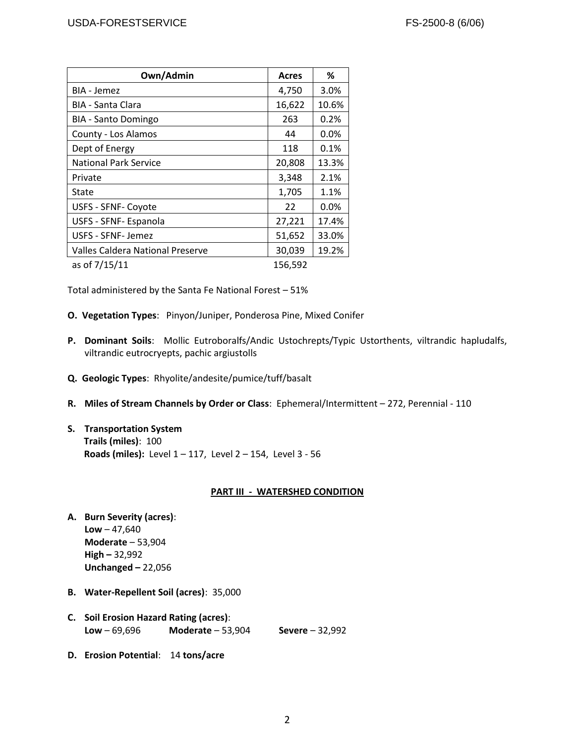| Own/Admin                               | Acres   | %       |
|-----------------------------------------|---------|---------|
| BIA - Jemez                             | 4,750   | 3.0%    |
| <b>BIA - Santa Clara</b>                | 16,622  | 10.6%   |
| <b>BIA - Santo Domingo</b>              | 263     | 0.2%    |
| County - Los Alamos                     | 44      | 0.0%    |
| Dept of Energy                          | 118     | 0.1%    |
| <b>National Park Service</b>            | 20,808  | 13.3%   |
| Private                                 | 3,348   | 2.1%    |
| State                                   | 1,705   | 1.1%    |
| <b>USFS - SFNF- Coyote</b>              | 22      | $0.0\%$ |
| USFS - SFNF- Espanola                   | 27,221  | 17.4%   |
| USFS - SFNF- Jemez                      | 51,652  | 33.0%   |
| <b>Valles Caldera National Preserve</b> | 30,039  | 19.2%   |
| as of 7/15/11                           | 156,592 |         |

Total administered by the Santa Fe National Forest – 51%

- **O. Vegetation Types**: Pinyon/Juniper, Ponderosa Pine, Mixed Conifer
- **P. Dominant Soils**: Mollic Eutroboralfs/Andic Ustochrepts/Typic Ustorthents, viltrandic hapludalfs, viltrandic eutrocryepts, pachic argiustolls
- **Q. Geologic Types**: Rhyolite/andesite/pumice/tuff/basalt
- **R. Miles of Stream Channels by Order or Class**: Ephemeral/Intermittent 272, Perennial 110
- **S. Transportation System Trails (miles)**: 100 **Roads (miles):** Level 1 – 117, Level 2 – 154, Level 3 - 56

#### **PART III - WATERSHED CONDITION**

- **A. Burn Severity (acres)**: **Low** – 47,640 **Moderate** – 53,904 **High –** 32,992 **Unchanged –** 22,056
- **B. Water-Repellent Soil (acres)**: 35,000
- **C. Soil Erosion Hazard Rating (acres)**: **Low** – 69,696 **Moderate** – 53,904 **Severe** – 32,992
- **D. Erosion Potential**: 14 **tons/acre**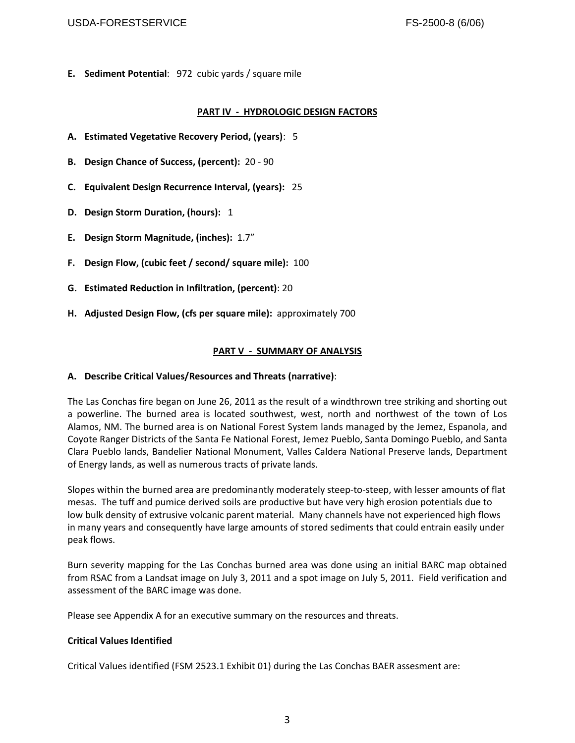#### USDA-FORESTSERVICE THE RESERVICE CONSUMING THE RESERVICE RESERVICE

**E. Sediment Potential**: 972 cubic yards / square mile

# **PART IV - HYDROLOGIC DESIGN FACTORS**

- **A. Estimated Vegetative Recovery Period, (years)**: 5
- **B. Design Chance of Success, (percent):** 20 90
- **C. Equivalent Design Recurrence Interval, (years):** 25
- **D. Design Storm Duration, (hours):** 1
- **E. Design Storm Magnitude, (inches):** 1.7"
- **F. Design Flow, (cubic feet / second/ square mile):** 100
- **G. Estimated Reduction in Infiltration, (percent)**: 20
- **H. Adjusted Design Flow, (cfs per square mile):** approximately 700

# **PART V - SUMMARY OF ANALYSIS**

#### **A. Describe Critical Values/Resources and Threats (narrative)**:

The Las Conchas fire began on June 26, 2011 as the result of a windthrown tree striking and shorting out a powerline. The burned area is located southwest, west, north and northwest of the town of Los Alamos, NM. The burned area is on National Forest System lands managed by the Jemez, Espanola, and Coyote Ranger Districts of the Santa Fe National Forest, Jemez Pueblo, Santa Domingo Pueblo, and Santa Clara Pueblo lands, Bandelier National Monument, Valles Caldera National Preserve lands, Department of Energy lands, as well as numerous tracts of private lands.

Slopes within the burned area are predominantly moderately steep-to-steep, with lesser amounts of flat mesas. The tuff and pumice derived soils are productive but have very high erosion potentials due to low bulk density of extrusive volcanic parent material. Many channels have not experienced high flows in many years and consequently have large amounts of stored sediments that could entrain easily under peak flows.

Burn severity mapping for the Las Conchas burned area was done using an initial BARC map obtained from RSAC from a Landsat image on July 3, 2011 and a spot image on July 5, 2011. Field verification and assessment of the BARC image was done.

Please see Appendix A for an executive summary on the resources and threats.

#### **Critical Values Identified**

Critical Values identified (FSM 2523.1 Exhibit 01) during the Las Conchas BAER assesment are: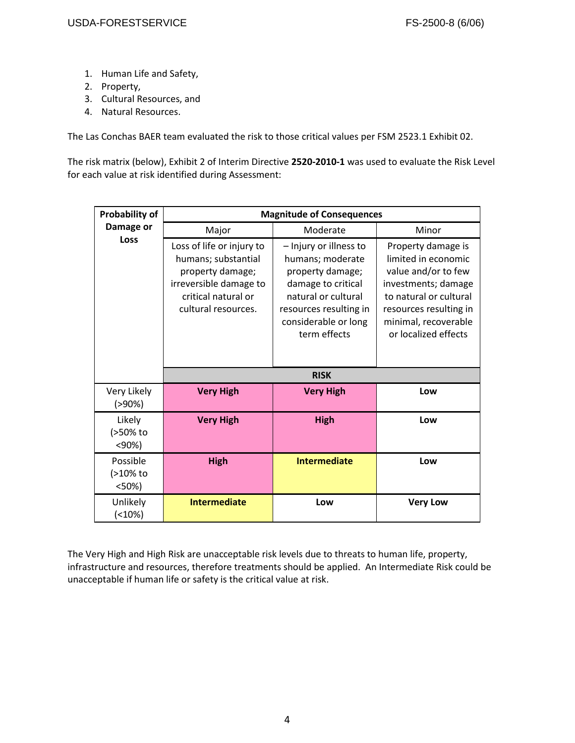- 1. Human Life and Safety,
- 2. Property,
- 3. Cultural Resources, and
- 4. Natural Resources.

The Las Conchas BAER team evaluated the risk to those critical values per FSM 2523.1 Exhibit 02.

The risk matrix (below), Exhibit 2 of Interim Directive **2520-2010-1** was used to evaluate the Risk Level for each value at risk identified during Assessment:

| Probability of               | <b>Magnitude of Consequences</b>                                                                                                             |                                                                                                                                                                               |                                                                                                                                                                                             |  |  |
|------------------------------|----------------------------------------------------------------------------------------------------------------------------------------------|-------------------------------------------------------------------------------------------------------------------------------------------------------------------------------|---------------------------------------------------------------------------------------------------------------------------------------------------------------------------------------------|--|--|
| Damage or                    | Major                                                                                                                                        | Minor                                                                                                                                                                         |                                                                                                                                                                                             |  |  |
| <b>Loss</b>                  | Loss of life or injury to<br>humans; substantial<br>property damage;<br>irreversible damage to<br>critical natural or<br>cultural resources. | - Injury or illness to<br>humans; moderate<br>property damage;<br>damage to critical<br>natural or cultural<br>resources resulting in<br>considerable or long<br>term effects | Property damage is<br>limited in economic<br>value and/or to few<br>investments; damage<br>to natural or cultural<br>resources resulting in<br>minimal, recoverable<br>or localized effects |  |  |
|                              |                                                                                                                                              | <b>RISK</b>                                                                                                                                                                   |                                                                                                                                                                                             |  |  |
| Very Likely<br>$( > 90\%)$   | <b>Very High</b>                                                                                                                             | <b>Very High</b>                                                                                                                                                              | Low                                                                                                                                                                                         |  |  |
| Likely<br>(>50% to<br>< 90%  | <b>Very High</b>                                                                                                                             | <b>High</b>                                                                                                                                                                   | Low                                                                                                                                                                                         |  |  |
| Possible<br>(>10% to<br><50% | <b>High</b>                                                                                                                                  | <b>Intermediate</b>                                                                                                                                                           | Low                                                                                                                                                                                         |  |  |
| Unlikely<br>$( < 10\%)$      | <b>Intermediate</b>                                                                                                                          | Low                                                                                                                                                                           | <b>Very Low</b>                                                                                                                                                                             |  |  |

The Very High and High Risk are unacceptable risk levels due to threats to human life, property, infrastructure and resources, therefore treatments should be applied. An Intermediate Risk could be unacceptable if human life or safety is the critical value at risk.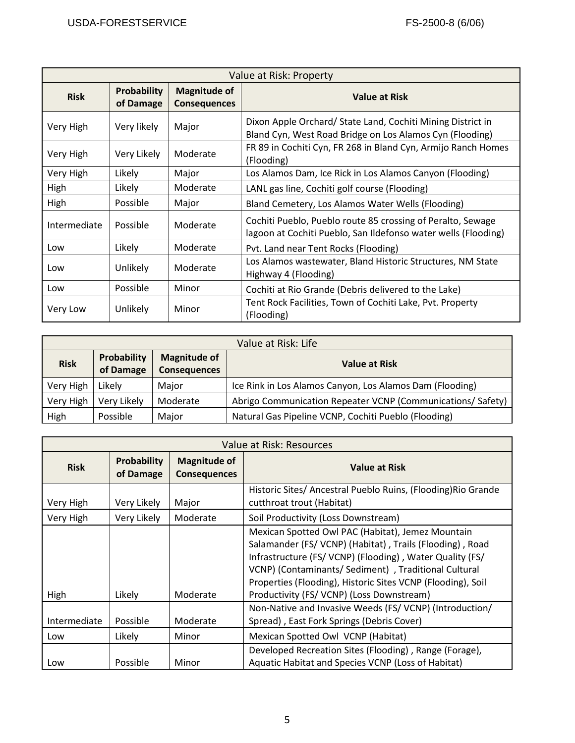| Value at Risk: Property   |                                 |                                            |                                                                                                                               |  |
|---------------------------|---------------------------------|--------------------------------------------|-------------------------------------------------------------------------------------------------------------------------------|--|
| <b>Risk</b>               | <b>Probability</b><br>of Damage | <b>Magnitude of</b><br><b>Consequences</b> | Value at Risk                                                                                                                 |  |
| Very High                 | Very likely                     | Major                                      | Dixon Apple Orchard/ State Land, Cochiti Mining District in<br>Bland Cyn, West Road Bridge on Los Alamos Cyn (Flooding)       |  |
| Very High                 | Very Likely                     | Moderate                                   | FR 89 in Cochiti Cyn, FR 268 in Bland Cyn, Armijo Ranch Homes<br>(Flooding)                                                   |  |
| Very High                 | Likely                          | Major                                      | Los Alamos Dam, Ice Rick in Los Alamos Canyon (Flooding)                                                                      |  |
| High                      | Likely                          | Moderate                                   | LANL gas line, Cochiti golf course (Flooding)                                                                                 |  |
| High<br>Possible<br>Major |                                 |                                            | Bland Cemetery, Los Alamos Water Wells (Flooding)                                                                             |  |
| Intermediate              | Possible                        | Moderate                                   | Cochiti Pueblo, Pueblo route 85 crossing of Peralto, Sewage<br>lagoon at Cochiti Pueblo, San Ildefonso water wells (Flooding) |  |
| Low                       | Likely                          | Moderate                                   | Pvt. Land near Tent Rocks (Flooding)                                                                                          |  |
| Low                       | Unlikely                        | Moderate                                   | Los Alamos wastewater, Bland Historic Structures, NM State<br>Highway 4 (Flooding)                                            |  |
| Low                       | Possible                        | Minor                                      | Cochiti at Rio Grande (Debris delivered to the Lake)                                                                          |  |
| Very Low                  | Unlikely                        | Minor                                      | Tent Rock Facilities, Town of Cochiti Lake, Pvt. Property<br>(Flooding)                                                       |  |

|                                                                                       | Value at Risk: Life |                      |                                                            |  |  |
|---------------------------------------------------------------------------------------|---------------------|----------------------|------------------------------------------------------------|--|--|
| Probability<br><b>Magnitude of</b><br><b>Risk</b><br>of Damage<br><b>Consequences</b> |                     | <b>Value at Risk</b> |                                                            |  |  |
| Very High                                                                             | Likely              | Major                | Ice Rink in Los Alamos Canyon, Los Alamos Dam (Flooding)   |  |  |
| Very High                                                                             | Very Likely         | Moderate             | Abrigo Communication Repeater VCNP (Communications/Safety) |  |  |
| High                                                                                  | Possible            | Major                | Natural Gas Pipeline VCNP, Cochiti Pueblo (Flooding)       |  |  |

| Value at Risk: Resources                                                                     |             |          |                                                                                                                                                                                                                                                                                                                                            |  |
|----------------------------------------------------------------------------------------------|-------------|----------|--------------------------------------------------------------------------------------------------------------------------------------------------------------------------------------------------------------------------------------------------------------------------------------------------------------------------------------------|--|
| <b>Probability</b><br><b>Magnitude of</b><br><b>Risk</b><br>of Damage<br><b>Consequences</b> |             |          | Value at Risk                                                                                                                                                                                                                                                                                                                              |  |
| Very Likely<br>Very High<br>Major                                                            |             |          | Historic Sites/ Ancestral Pueblo Ruins, (Flooding) Rio Grande<br>cutthroat trout (Habitat)                                                                                                                                                                                                                                                 |  |
| Very High                                                                                    | Very Likely | Moderate | Soil Productivity (Loss Downstream)                                                                                                                                                                                                                                                                                                        |  |
| High                                                                                         | Likely      | Moderate | Mexican Spotted Owl PAC (Habitat), Jemez Mountain<br>Salamander (FS/VCNP) (Habitat), Trails (Flooding), Road<br>Infrastructure (FS/VCNP) (Flooding), Water Quality (FS/<br>VCNP) (Contaminants/ Sediment), Traditional Cultural<br>Properties (Flooding), Historic Sites VCNP (Flooding), Soil<br>Productivity (FS/VCNP) (Loss Downstream) |  |
| Intermediate                                                                                 | Possible    | Moderate | Non-Native and Invasive Weeds (FS/VCNP) (Introduction/<br>Spread), East Fork Springs (Debris Cover)                                                                                                                                                                                                                                        |  |
| Likely<br>Minor<br>Low                                                                       |             |          | Mexican Spotted Owl VCNP (Habitat)                                                                                                                                                                                                                                                                                                         |  |
| Low                                                                                          | Possible    | Minor    | Developed Recreation Sites (Flooding), Range (Forage),<br>Aquatic Habitat and Species VCNP (Loss of Habitat)                                                                                                                                                                                                                               |  |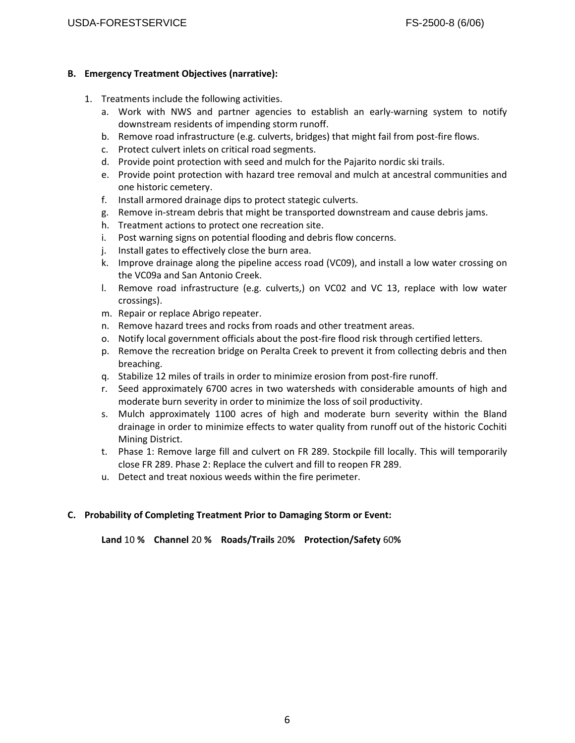## **B. Emergency Treatment Objectives (narrative):**

- 1. Treatments include the following activities.
	- a. Work with NWS and partner agencies to establish an early-warning system to notify downstream residents of impending storm runoff.
	- b. Remove road infrastructure (e.g. culverts, bridges) that might fail from post-fire flows.
	- c. Protect culvert inlets on critical road segments.
	- d. Provide point protection with seed and mulch for the Pajarito nordic ski trails.
	- e. Provide point protection with hazard tree removal and mulch at ancestral communities and one historic cemetery.
	- f. Install armored drainage dips to protect stategic culverts.
	- g. Remove in-stream debris that might be transported downstream and cause debris jams.
	- h. Treatment actions to protect one recreation site.
	- i. Post warning signs on potential flooding and debris flow concerns.
	- j. Install gates to effectively close the burn area.
	- k. Improve drainage along the pipeline access road (VC09), and install a low water crossing on the VC09a and San Antonio Creek.
	- l. Remove road infrastructure (e.g. culverts,) on VC02 and VC 13, replace with low water crossings).
	- m. Repair or replace Abrigo repeater.
	- n. Remove hazard trees and rocks from roads and other treatment areas.
	- o. Notify local government officials about the post-fire flood risk through certified letters.
	- p. Remove the recreation bridge on Peralta Creek to prevent it from collecting debris and then breaching.
	- q. Stabilize 12 miles of trails in order to minimize erosion from post-fire runoff.
	- r. Seed approximately 6700 acres in two watersheds with considerable amounts of high and moderate burn severity in order to minimize the loss of soil productivity.
	- s. Mulch approximately 1100 acres of high and moderate burn severity within the Bland drainage in order to minimize effects to water quality from runoff out of the historic Cochiti Mining District.
	- t. Phase 1: Remove large fill and culvert on FR 289. Stockpile fill locally. This will temporarily close FR 289. Phase 2: Replace the culvert and fill to reopen FR 289.
	- u. Detect and treat noxious weeds within the fire perimeter.

# **C. Probability of Completing Treatment Prior to Damaging Storm or Event:**

**Land** 10 **% Channel** 20 **% Roads/Trails** 20**% Protection/Safety** 60**%**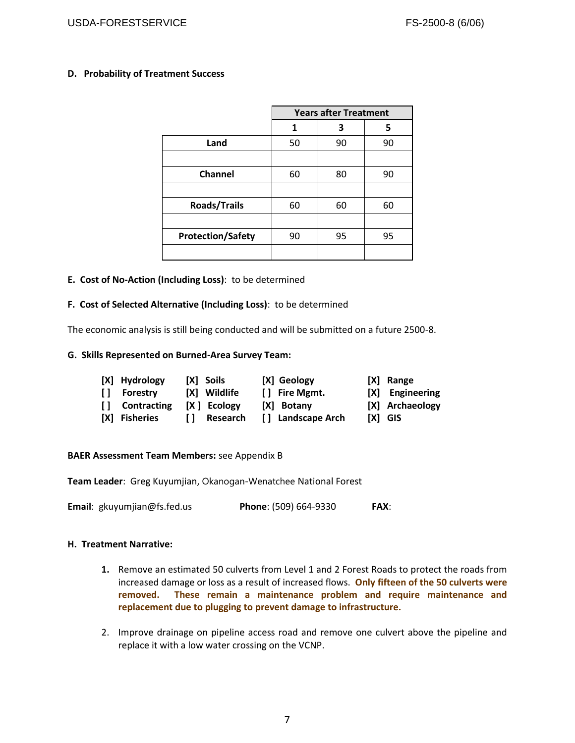#### **D. Probability of Treatment Success**

|                          | <b>Years after Treatment</b> |    |    |
|--------------------------|------------------------------|----|----|
|                          | 1                            | 3  | 5  |
| Land                     | 50                           | 90 | 90 |
|                          |                              |    |    |
| Channel                  | 60                           | 80 | 90 |
|                          |                              |    |    |
| <b>Roads/Trails</b>      | 60                           | 60 | 60 |
|                          |                              |    |    |
| <b>Protection/Safety</b> | 90                           | 95 | 95 |
|                          |                              |    |    |

#### **E. Cost of No-Action (Including Loss)**: to be determined

#### **F. Cost of Selected Alternative (Including Loss)**: to be determined

The economic analysis is still being conducted and will be submitted on a future 2500-8.

#### **G. Skills Represented on Burned-Area Survey Team:**

| [X] Hydrology  | [X] Soils     | [X] Geology       | [X] Range       |
|----------------|---------------|-------------------|-----------------|
| [] Forestry    | [X] Wildlife  | [] Fire Mgmt.     | [X] Engineering |
| [] Contracting | $[X]$ Ecology | [X] Botany        | [X] Archaeology |
| [X] Fisheries  | [] Research   | [] Landscape Arch | $[X]$ GIS       |

#### **BAER Assessment Team Members:** see Appendix B

**Team Leader**: Greg Kuyumjian, Okanogan-Wenatchee National Forest

**Email**: gkuyumjian@fs.fed.us **Phone**: (509) 664-9330 **FAX**:

#### **H. Treatment Narrative:**

- **1.** Remove an estimated 50 culverts from Level 1 and 2 Forest Roads to protect the roads from increased damage or loss as a result of increased flows. **Only fifteen of the 50 culverts were removed. These remain a maintenance problem and require maintenance and replacement due to plugging to prevent damage to infrastructure.**
- 2. Improve drainage on pipeline access road and remove one culvert above the pipeline and replace it with a low water crossing on the VCNP.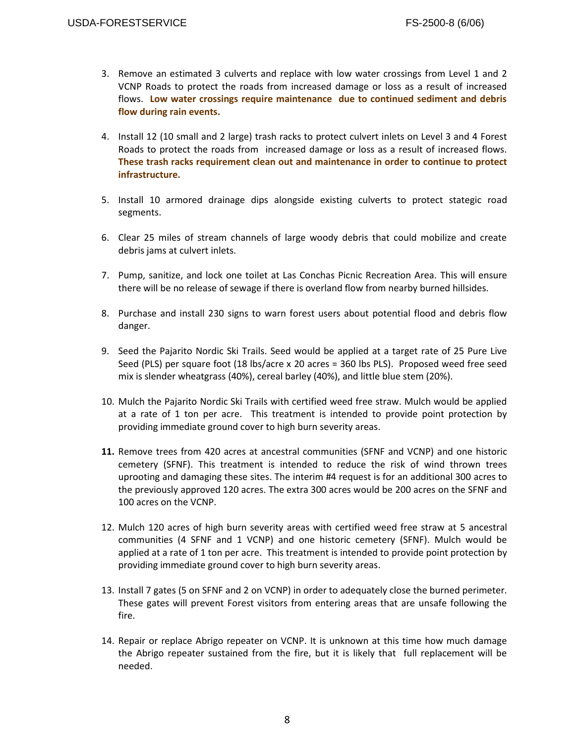- 3. Remove an estimated 3 culverts and replace with low water crossings from Level 1 and 2 VCNP Roads to protect the roads from increased damage or loss as a result of increased flows. **Low water crossings require maintenance due to continued sediment and debris flow during rain events.**
- 4. Install 12 (10 small and 2 large) trash racks to protect culvert inlets on Level 3 and 4 Forest Roads to protect the roads from increased damage or loss as a result of increased flows. **These trash racks requirement clean out and maintenance in order to continue to protect infrastructure.**
- 5. Install 10 armored drainage dips alongside existing culverts to protect stategic road segments.
- 6. Clear 25 miles of stream channels of large woody debris that could mobilize and create debris jams at culvert inlets.
- 7. Pump, sanitize, and lock one toilet at Las Conchas Picnic Recreation Area. This will ensure there will be no release of sewage if there is overland flow from nearby burned hillsides.
- 8. Purchase and install 230 signs to warn forest users about potential flood and debris flow danger.
- 9. Seed the Pajarito Nordic Ski Trails. Seed would be applied at a target rate of 25 Pure Live Seed (PLS) per square foot (18 lbs/acre x 20 acres = 360 lbs PLS). Proposed weed free seed mix is slender wheatgrass (40%), cereal barley (40%), and little blue stem (20%).
- 10. Mulch the Pajarito Nordic Ski Trails with certified weed free straw. Mulch would be applied at a rate of 1 ton per acre. This treatment is intended to provide point protection by providing immediate ground cover to high burn severity areas.
- **11.** Remove trees from 420 acres at ancestral communities (SFNF and VCNP) and one historic cemetery (SFNF). This treatment is intended to reduce the risk of wind thrown trees uprooting and damaging these sites. The interim #4 request is for an additional 300 acres to the previously approved 120 acres. The extra 300 acres would be 200 acres on the SFNF and 100 acres on the VCNP.
- 12. Mulch 120 acres of high burn severity areas with certified weed free straw at 5 ancestral communities (4 SFNF and 1 VCNP) and one historic cemetery (SFNF). Mulch would be applied at a rate of 1 ton per acre. This treatment is intended to provide point protection by providing immediate ground cover to high burn severity areas.
- 13. Install 7 gates (5 on SFNF and 2 on VCNP) in order to adequately close the burned perimeter. These gates will prevent Forest visitors from entering areas that are unsafe following the fire.
- 14. Repair or replace Abrigo repeater on VCNP. It is unknown at this time how much damage the Abrigo repeater sustained from the fire, but it is likely that full replacement will be needed.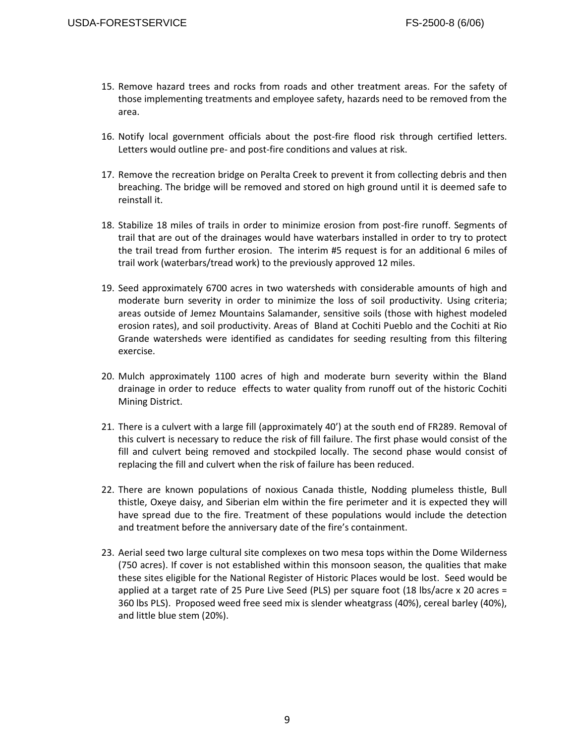- 15. Remove hazard trees and rocks from roads and other treatment areas. For the safety of those implementing treatments and employee safety, hazards need to be removed from the area.
- 16. Notify local government officials about the post-fire flood risk through certified letters. Letters would outline pre- and post-fire conditions and values at risk.
- 17. Remove the recreation bridge on Peralta Creek to prevent it from collecting debris and then breaching. The bridge will be removed and stored on high ground until it is deemed safe to reinstall it.
- 18. Stabilize 18 miles of trails in order to minimize erosion from post-fire runoff. Segments of trail that are out of the drainages would have waterbars installed in order to try to protect the trail tread from further erosion. The interim #5 request is for an additional 6 miles of trail work (waterbars/tread work) to the previously approved 12 miles.
- 19. Seed approximately 6700 acres in two watersheds with considerable amounts of high and moderate burn severity in order to minimize the loss of soil productivity. Using criteria; areas outside of Jemez Mountains Salamander, sensitive soils (those with highest modeled erosion rates), and soil productivity. Areas of Bland at Cochiti Pueblo and the Cochiti at Rio Grande watersheds were identified as candidates for seeding resulting from this filtering exercise.
- 20. Mulch approximately 1100 acres of high and moderate burn severity within the Bland drainage in order to reduce effects to water quality from runoff out of the historic Cochiti Mining District.
- 21. There is a culvert with a large fill (approximately 40') at the south end of FR289. Removal of this culvert is necessary to reduce the risk of fill failure. The first phase would consist of the fill and culvert being removed and stockpiled locally. The second phase would consist of replacing the fill and culvert when the risk of failure has been reduced.
- 22. There are known populations of noxious Canada thistle, Nodding plumeless thistle, Bull thistle, Oxeye daisy, and Siberian elm within the fire perimeter and it is expected they will have spread due to the fire. Treatment of these populations would include the detection and treatment before the anniversary date of the fire's containment.
- 23. Aerial seed two large cultural site complexes on two mesa tops within the Dome Wilderness (750 acres). If cover is not established within this monsoon season, the qualities that make these sites eligible for the National Register of Historic Places would be lost. Seed would be applied at a target rate of 25 Pure Live Seed (PLS) per square foot (18 lbs/acre x 20 acres = 360 lbs PLS). Proposed weed free seed mix is slender wheatgrass (40%), cereal barley (40%), and little blue stem (20%).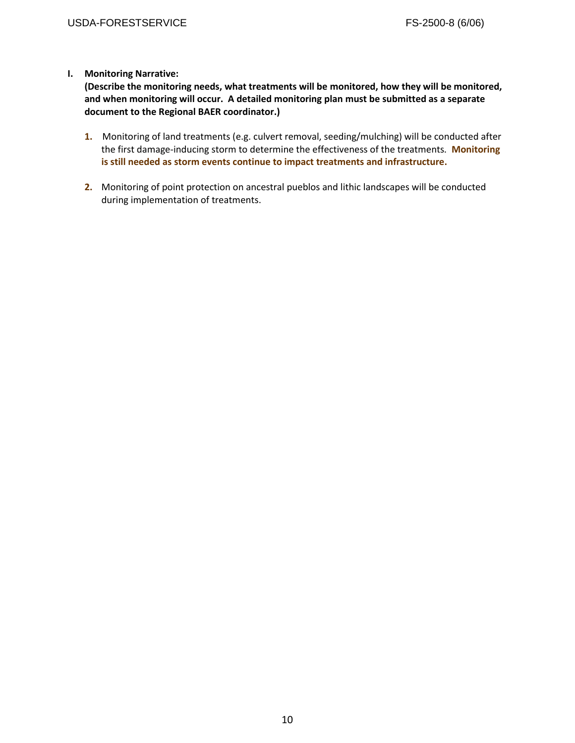# **I. Monitoring Narrative:**

**(Describe the monitoring needs, what treatments will be monitored, how they will be monitored, and when monitoring will occur. A detailed monitoring plan must be submitted as a separate document to the Regional BAER coordinator.)**

- **1.** Monitoring of land treatments (e.g. culvert removal, seeding/mulching) will be conducted after the first damage-inducing storm to determine the effectiveness of the treatments. **Monitoring is still needed as storm events continue to impact treatments and infrastructure.**
- **2.** Monitoring of point protection on ancestral pueblos and lithic landscapes will be conducted during implementation of treatments.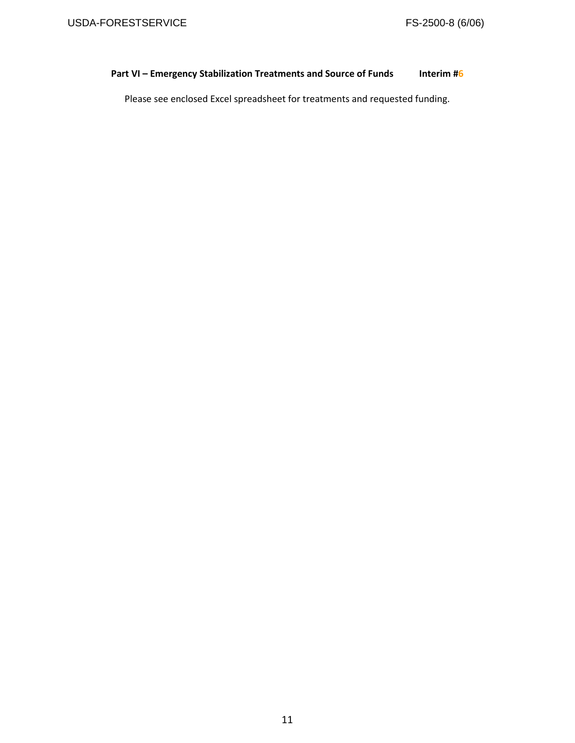# **Part VI – Emergency Stabilization Treatments and Source of Funds Interim #6**

Please see enclosed Excel spreadsheet for treatments and requested funding.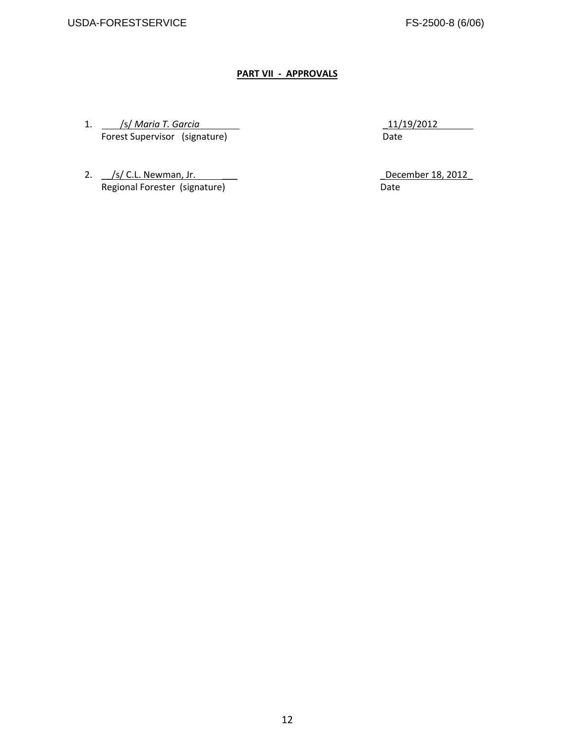# **PART VII - APPROVALS**

1. /s/ *Maria T. Garcia* \_11/19/2012 **Forest Supervisor** (signature) **Date** 

2. \_\_/s/ C.L. Newman, Jr. \_\_\_ \_December 18, 2012\_ Regional Forester (signature) and the control of the Date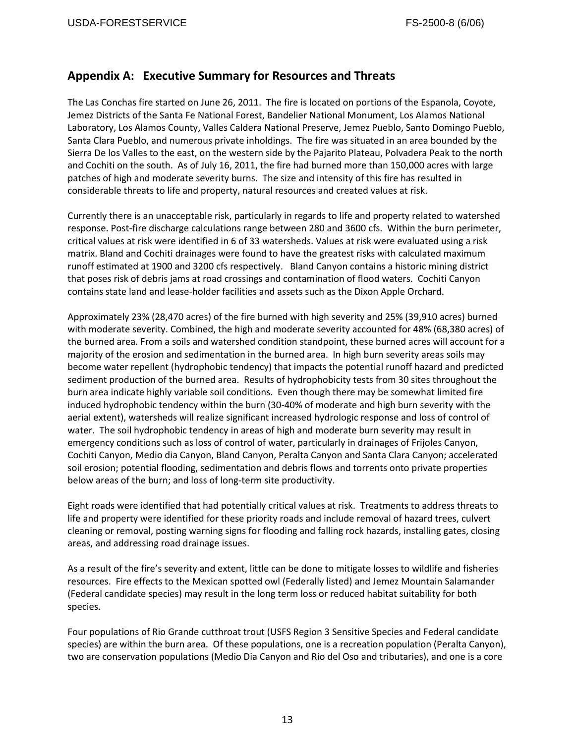# **Appendix A: Executive Summary for Resources and Threats**

The Las Conchas fire started on June 26, 2011. The fire is located on portions of the Espanola, Coyote, Jemez Districts of the Santa Fe National Forest, Bandelier National Monument, Los Alamos National Laboratory, Los Alamos County, Valles Caldera National Preserve, Jemez Pueblo, Santo Domingo Pueblo, Santa Clara Pueblo, and numerous private inholdings. The fire was situated in an area bounded by the Sierra De los Valles to the east, on the western side by the Pajarito Plateau, Polvadera Peak to the north and Cochiti on the south. As of July 16, 2011, the fire had burned more than 150,000 acres with large patches of high and moderate severity burns. The size and intensity of this fire has resulted in considerable threats to life and property, natural resources and created values at risk.

Currently there is an unacceptable risk, particularly in regards to life and property related to watershed response. Post-fire discharge calculations range between 280 and 3600 cfs. Within the burn perimeter, critical values at risk were identified in 6 of 33 watersheds. Values at risk were evaluated using a risk matrix. Bland and Cochiti drainages were found to have the greatest risks with calculated maximum runoff estimated at 1900 and 3200 cfs respectively. Bland Canyon contains a historic mining district that poses risk of debris jams at road crossings and contamination of flood waters. Cochiti Canyon contains state land and lease-holder facilities and assets such as the Dixon Apple Orchard.

Approximately 23% (28,470 acres) of the fire burned with high severity and 25% (39,910 acres) burned with moderate severity. Combined, the high and moderate severity accounted for 48% (68,380 acres) of the burned area. From a soils and watershed condition standpoint, these burned acres will account for a majority of the erosion and sedimentation in the burned area. In high burn severity areas soils may become water repellent (hydrophobic tendency) that impacts the potential runoff hazard and predicted sediment production of the burned area. Results of hydrophobicity tests from 30 sites throughout the burn area indicate highly variable soil conditions. Even though there may be somewhat limited fire induced hydrophobic tendency within the burn (30-40% of moderate and high burn severity with the aerial extent), watersheds will realize significant increased hydrologic response and loss of control of water. The soil hydrophobic tendency in areas of high and moderate burn severity may result in emergency conditions such as loss of control of water, particularly in drainages of Frijoles Canyon, Cochiti Canyon, Medio dia Canyon, Bland Canyon, Peralta Canyon and Santa Clara Canyon; accelerated soil erosion; potential flooding, sedimentation and debris flows and torrents onto private properties below areas of the burn; and loss of long-term site productivity.

Eight roads were identified that had potentially critical values at risk. Treatments to address threats to life and property were identified for these priority roads and include removal of hazard trees, culvert cleaning or removal, posting warning signs for flooding and falling rock hazards, installing gates, closing areas, and addressing road drainage issues.

As a result of the fire's severity and extent, little can be done to mitigate losses to wildlife and fisheries resources. Fire effects to the Mexican spotted owl (Federally listed) and Jemez Mountain Salamander (Federal candidate species) may result in the long term loss or reduced habitat suitability for both species.

Four populations of Rio Grande cutthroat trout (USFS Region 3 Sensitive Species and Federal candidate species) are within the burn area. Of these populations, one is a recreation population (Peralta Canyon), two are conservation populations (Medio Dia Canyon and Rio del Oso and tributaries), and one is a core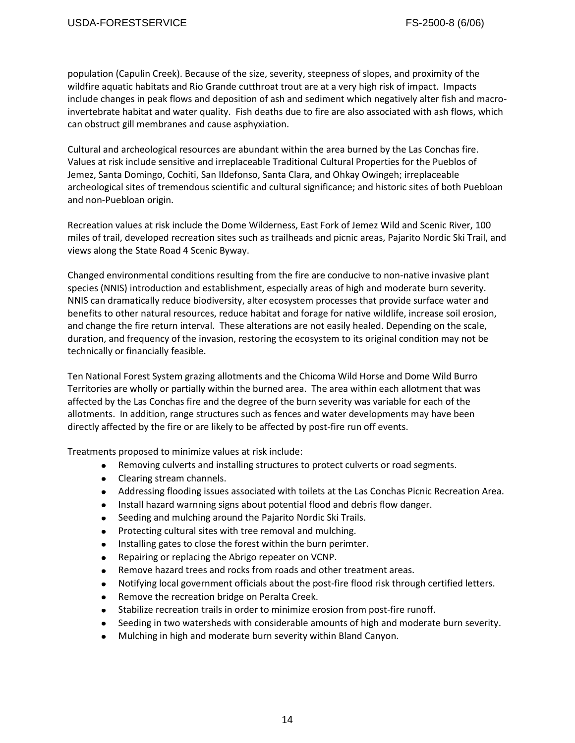population (Capulin Creek). Because of the size, severity, steepness of slopes, and proximity of the wildfire aquatic habitats and Rio Grande cutthroat trout are at a very high risk of impact. Impacts include changes in peak flows and deposition of ash and sediment which negatively alter fish and macroinvertebrate habitat and water quality. Fish deaths due to fire are also associated with ash flows, which can obstruct gill membranes and cause asphyxiation.

Cultural and archeological resources are abundant within the area burned by the Las Conchas fire. Values at risk include sensitive and irreplaceable Traditional Cultural Properties for the Pueblos of Jemez, Santa Domingo, Cochiti, San Ildefonso, Santa Clara, and Ohkay Owingeh; irreplaceable archeological sites of tremendous scientific and cultural significance; and historic sites of both Puebloan and non-Puebloan origin.

Recreation values at risk include the Dome Wilderness, East Fork of Jemez Wild and Scenic River, 100 miles of trail, developed recreation sites such as trailheads and picnic areas, Pajarito Nordic Ski Trail, and views along the State Road 4 Scenic Byway.

Changed environmental conditions resulting from the fire are conducive to non-native invasive plant species (NNIS) introduction and establishment, especially areas of high and moderate burn severity. NNIS can dramatically reduce biodiversity, alter ecosystem processes that provide surface water and benefits to other natural resources, reduce habitat and forage for native wildlife, increase soil erosion, and change the fire return interval. These alterations are not easily healed. Depending on the scale, duration, and frequency of the invasion, restoring the ecosystem to its original condition may not be technically or financially feasible.

Ten National Forest System grazing allotments and the Chicoma Wild Horse and Dome Wild Burro Territories are wholly or partially within the burned area. The area within each allotment that was affected by the Las Conchas fire and the degree of the burn severity was variable for each of the allotments. In addition, range structures such as fences and water developments may have been directly affected by the fire or are likely to be affected by post-fire run off events.

Treatments proposed to minimize values at risk include:

- Removing culverts and installing structures to protect culverts or road segments.
- Clearing stream channels.
- Addressing flooding issues associated with toilets at the Las Conchas Picnic Recreation Area.
- Install hazard warnning signs about potential flood and debris flow danger.
- Seeding and mulching around the Pajarito Nordic Ski Trails.  $\bullet$
- Protecting cultural sites with tree removal and mulching.  $\bullet$
- Installing gates to close the forest within the burn perimter.  $\bullet$
- Repairing or replacing the Abrigo repeater on VCNP.  $\bullet$
- Remove hazard trees and rocks from roads and other treatment areas.  $\bullet$
- Notifying local government officials about the post-fire flood risk through certified letters.  $\bullet$
- $\bullet$ Remove the recreation bridge on Peralta Creek.
- Stabilize recreation trails in order to minimize erosion from post-fire runoff.  $\bullet$
- Seeding in two watersheds with considerable amounts of high and moderate burn severity.
- Mulching in high and moderate burn severity within Bland Canyon.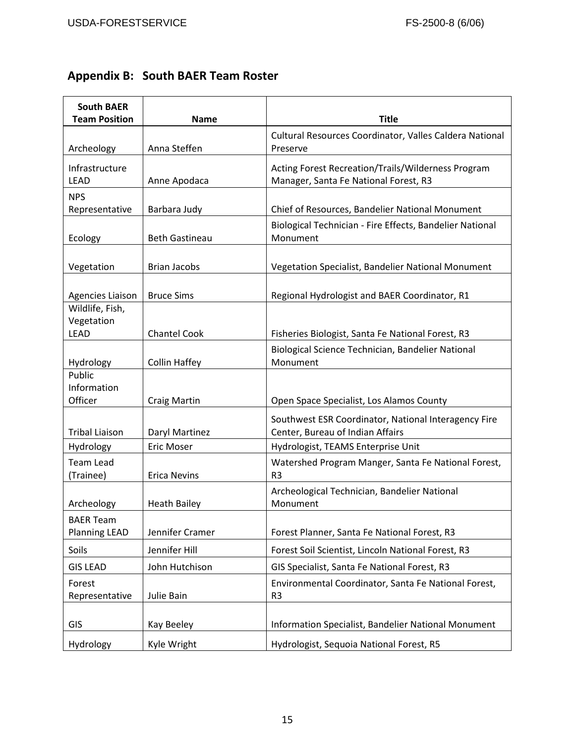# **Appendix B: South BAER Team Roster**

| <b>South BAER</b><br><b>Team Position</b> | <b>Name</b>           | <b>Title</b>                                                                                |
|-------------------------------------------|-----------------------|---------------------------------------------------------------------------------------------|
| Archeology                                | Anna Steffen          | Cultural Resources Coordinator, Valles Caldera National<br>Preserve                         |
| Infrastructure<br><b>LEAD</b>             | Anne Apodaca          | Acting Forest Recreation/Trails/Wilderness Program<br>Manager, Santa Fe National Forest, R3 |
| <b>NPS</b><br>Representative              | Barbara Judy          | Chief of Resources, Bandelier National Monument                                             |
| Ecology                                   | <b>Beth Gastineau</b> | Biological Technician - Fire Effects, Bandelier National<br>Monument                        |
| Vegetation                                | <b>Brian Jacobs</b>   | Vegetation Specialist, Bandelier National Monument                                          |
| <b>Agencies Liaison</b>                   | <b>Bruce Sims</b>     | Regional Hydrologist and BAER Coordinator, R1                                               |
| Wildlife, Fish,<br>Vegetation             |                       |                                                                                             |
| <b>LEAD</b>                               | <b>Chantel Cook</b>   | Fisheries Biologist, Santa Fe National Forest, R3                                           |
| Hydrology                                 | <b>Collin Haffey</b>  | Biological Science Technician, Bandelier National<br>Monument                               |
| Public<br>Information<br>Officer          | <b>Craig Martin</b>   | Open Space Specialist, Los Alamos County                                                    |
| <b>Tribal Liaison</b>                     | Daryl Martinez        | Southwest ESR Coordinator, National Interagency Fire<br>Center, Bureau of Indian Affairs    |
| Hydrology                                 | Eric Moser            | Hydrologist, TEAMS Enterprise Unit                                                          |
| <b>Team Lead</b><br>(Trainee)             | <b>Erica Nevins</b>   | Watershed Program Manger, Santa Fe National Forest,<br>R <sub>3</sub>                       |
| Archeology                                | <b>Heath Bailey</b>   | Archeological Technician, Bandelier National<br>Monument                                    |
| BAER Team<br><b>Planning LEAD</b>         | Jennifer Cramer       | Forest Planner, Santa Fe National Forest, R3                                                |
| Soils                                     | Jennifer Hill         | Forest Soil Scientist, Lincoln National Forest, R3                                          |
| <b>GIS LEAD</b>                           | John Hutchison        | GIS Specialist, Santa Fe National Forest, R3                                                |
| Forest<br>Representative                  | Julie Bain            | Environmental Coordinator, Santa Fe National Forest,<br>R <sub>3</sub>                      |
| GIS                                       | Kay Beeley            | Information Specialist, Bandelier National Monument                                         |
| Hydrology                                 | Kyle Wright           | Hydrologist, Sequoia National Forest, R5                                                    |